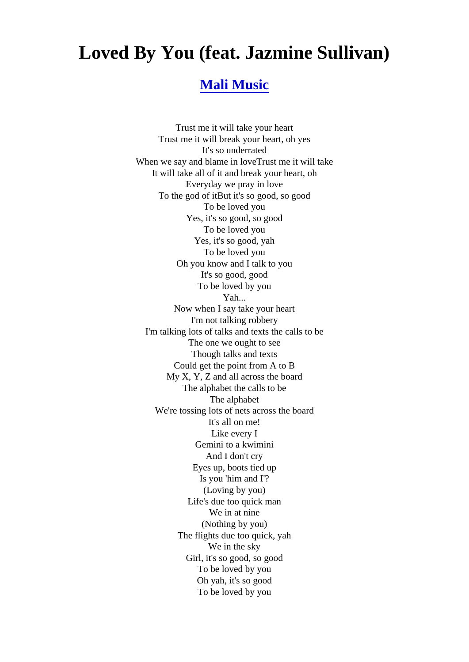## Loved By You (feat. Jazmine Sullivan)

## [Mali Music](http://www.1songlyrics.com/search.html?q=Mali+Music)

Trust me it will take your heart Trust me it will break your heart, oh yes It's so underrated When we say and blame in loveTrust me it will take It will take all of it and break your heart, oh Everyday we pray in love To the god of itBut it's so good, so good To be loved you Yes, it's so good, so good To be loved you Yes, it's so good, yah To be loved you Oh you know and I talk to you It's so good, good To be loved by you Yah... Now when I say take your heart I'm not talking robbery I'm talking lots of talks and texts the calls to be The one we ought to see Though talks and texts Could get the point from A to B My X, Y, Z and all across the board The alphabet the calls to be The alphabet We're tossing lots of nets across the board It's all on me! Like every I Gemini to a kwimini And I don't cry Eyes up, boots tied up Is you 'him and I'? (Loving by you) Life's due too quick man We in at nine (Nothing by you) The flights due too quick, yah We in the sky Girl, it's so good, so good To be loved by you Oh yah, it's so good To be loved by you